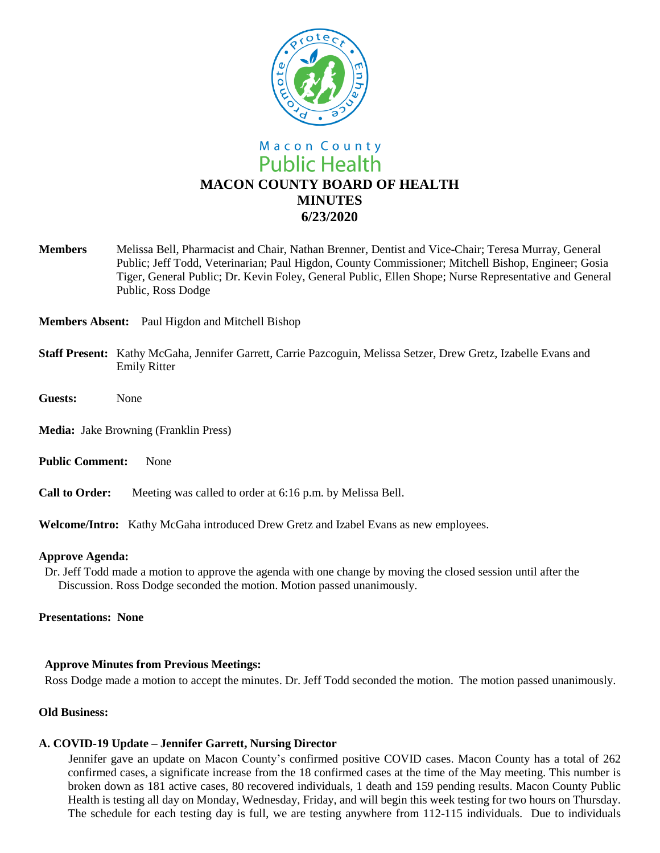

**Members** Melissa Bell, Pharmacist and Chair, Nathan Brenner, Dentist and Vice-Chair; Teresa Murray, General Public; Jeff Todd, Veterinarian; Paul Higdon, County Commissioner; Mitchell Bishop, Engineer; Gosia Tiger, General Public; Dr. Kevin Foley, General Public, Ellen Shope; Nurse Representative and General Public, Ross Dodge

**Members Absent:** Paul Higdon and Mitchell Bishop

- **Staff Present:** Kathy McGaha, Jennifer Garrett, Carrie Pazcoguin, Melissa Setzer, Drew Gretz, Izabelle Evans and Emily Ritter
- **Guests:** None

**Media:** Jake Browning (Franklin Press)

- **Public Comment:** None
- **Call to Order:** Meeting was called to order at 6:16 p.m. by Melissa Bell.

**Welcome/Intro:** Kathy McGaha introduced Drew Gretz and Izabel Evans as new employees.

## **Approve Agenda:**

Dr. Jeff Todd made a motion to approve the agenda with one change by moving the closed session until after the Discussion. Ross Dodge seconded the motion. Motion passed unanimously.

## **Presentations: None**

# **Approve Minutes from Previous Meetings:**

Ross Dodge made a motion to accept the minutes. Dr. Jeff Todd seconded the motion. The motion passed unanimously.

# **Old Business:**

# **A. COVID-19 Update – Jennifer Garrett, Nursing Director**

 Jennifer gave an update on Macon County's confirmed positive COVID cases. Macon County has a total of 262 confirmed cases, a significate increase from the 18 confirmed cases at the time of the May meeting. This number is broken down as 181 active cases, 80 recovered individuals, 1 death and 159 pending results. Macon County Public Health is testing all day on Monday, Wednesday, Friday, and will begin this week testing for two hours on Thursday. The schedule for each testing day is full, we are testing anywhere from 112-115 individuals. Due to individuals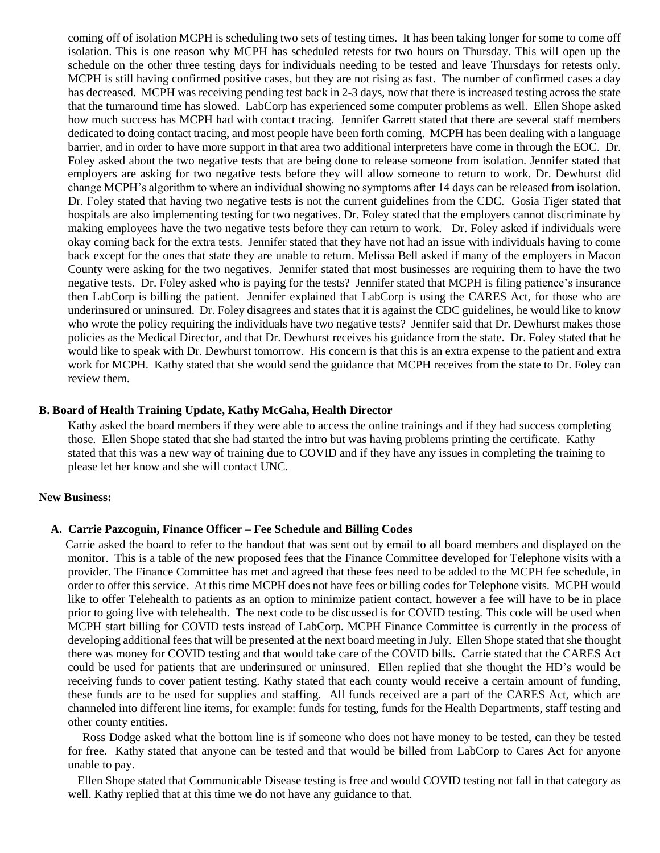coming off of isolation MCPH is scheduling two sets of testing times. It has been taking longer for some to come off isolation. This is one reason why MCPH has scheduled retests for two hours on Thursday. This will open up the schedule on the other three testing days for individuals needing to be tested and leave Thursdays for retests only. MCPH is still having confirmed positive cases, but they are not rising as fast. The number of confirmed cases a day has decreased. MCPH was receiving pending test back in 2-3 days, now that there is increased testing across the state that the turnaround time has slowed. LabCorp has experienced some computer problems as well. Ellen Shope asked how much success has MCPH had with contact tracing. Jennifer Garrett stated that there are several staff members dedicated to doing contact tracing, and most people have been forth coming. MCPH has been dealing with a language barrier, and in order to have more support in that area two additional interpreters have come in through the EOC. Dr. Foley asked about the two negative tests that are being done to release someone from isolation. Jennifer stated that employers are asking for two negative tests before they will allow someone to return to work. Dr. Dewhurst did change MCPH's algorithm to where an individual showing no symptoms after 14 days can be released from isolation. Dr. Foley stated that having two negative tests is not the current guidelines from the CDC. Gosia Tiger stated that hospitals are also implementing testing for two negatives. Dr. Foley stated that the employers cannot discriminate by making employees have the two negative tests before they can return to work. Dr. Foley asked if individuals were okay coming back for the extra tests. Jennifer stated that they have not had an issue with individuals having to come back except for the ones that state they are unable to return. Melissa Bell asked if many of the employers in Macon County were asking for the two negatives. Jennifer stated that most businesses are requiring them to have the two negative tests. Dr. Foley asked who is paying for the tests? Jennifer stated that MCPH is filing patience's insurance then LabCorp is billing the patient. Jennifer explained that LabCorp is using the CARES Act, for those who are underinsured or uninsured. Dr. Foley disagrees and states that it is against the CDC guidelines, he would like to know who wrote the policy requiring the individuals have two negative tests? Jennifer said that Dr. Dewhurst makes those policies as the Medical Director, and that Dr. Dewhurst receives his guidance from the state. Dr. Foley stated that he would like to speak with Dr. Dewhurst tomorrow. His concern is that this is an extra expense to the patient and extra work for MCPH. Kathy stated that she would send the guidance that MCPH receives from the state to Dr. Foley can review them.

## **B. Board of Health Training Update, Kathy McGaha, Health Director**

Kathy asked the board members if they were able to access the online trainings and if they had success completing those. Ellen Shope stated that she had started the intro but was having problems printing the certificate. Kathy stated that this was a new way of training due to COVID and if they have any issues in completing the training to please let her know and she will contact UNC.

#### **New Business:**

#### **A. Carrie Pazcoguin, Finance Officer – Fee Schedule and Billing Codes**

 Carrie asked the board to refer to the handout that was sent out by email to all board members and displayed on the monitor. This is a table of the new proposed fees that the Finance Committee developed for Telephone visits with a provider. The Finance Committee has met and agreed that these fees need to be added to the MCPH fee schedule, in order to offer this service. At this time MCPH does not have fees or billing codes for Telephone visits. MCPH would like to offer Telehealth to patients as an option to minimize patient contact, however a fee will have to be in place prior to going live with telehealth. The next code to be discussed is for COVID testing. This code will be used when MCPH start billing for COVID tests instead of LabCorp. MCPH Finance Committee is currently in the process of developing additional fees that will be presented at the next board meeting in July. Ellen Shope stated that she thought there was money for COVID testing and that would take care of the COVID bills. Carrie stated that the CARES Act could be used for patients that are underinsured or uninsured. Ellen replied that she thought the HD's would be receiving funds to cover patient testing. Kathy stated that each county would receive a certain amount of funding, these funds are to be used for supplies and staffing. All funds received are a part of the CARES Act, which are channeled into different line items, for example: funds for testing, funds for the Health Departments, staff testing and other county entities.

Ross Dodge asked what the bottom line is if someone who does not have money to be tested, can they be tested for free. Kathy stated that anyone can be tested and that would be billed from LabCorp to Cares Act for anyone unable to pay.

Ellen Shope stated that Communicable Disease testing is free and would COVID testing not fall in that category as well. Kathy replied that at this time we do not have any guidance to that.